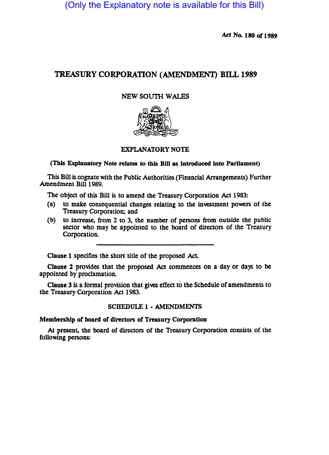(Only the Explanatory note is available for this Bill)

Act No. 180 or 1989

# TREASURY CORPORATION (AMENDMENT) BILL 1989

### NEW SOUTH WALES



# EXPLANATORY NOTE

#### (This Explanatory Note relates to this Bill as Introduced Into Parliament)

This Bill is cognate with the Public Authorities (Financial Arrangements) Further Amendment Bill 1989.

The object of this Bill is to amend the Treasury Corporation Act 1983:

- (a) to make consequential changes relating to the investment powers of the Treasury Corporation; and
- (b) to increase, from 2 to 3, the number of persons from outside the public sector who may be appointed to the board of directors of the Treasury Corporation.

Clause 1 specifies the short title of the proposed Act.

Clause 2 provides that the proposed Act commences on a day or days to be appointed by proclamation.

Clause 3 is a formal provision that gives effect to the Schedule of amendments to the Treasury Corporation Act 1983.

#### SCHEDULE 1 • AMENDMENTS

### Membership or board or directors or Treasury Corporation

At present, the board of directors of the Treasury Corporation consists of the following persons: